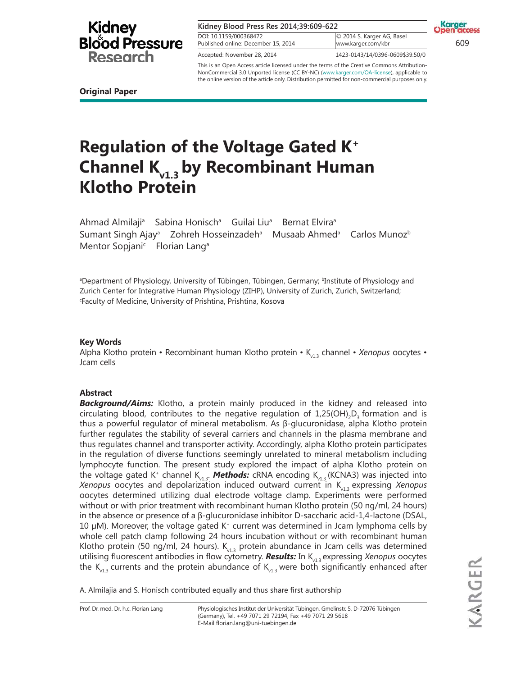| Kidney Blood Press Res 2014;39:609-622                        |                                                  | <b>Karger</b><br><b>Open access</b> |
|---------------------------------------------------------------|--------------------------------------------------|-------------------------------------|
| DOI: 10.1159/000368472<br>Published online: December 15, 2014 | © 2014 S. Karger AG, Basel<br>www.karger.com/kbr | 609                                 |
| Accepted: November 28, 2014                                   | 1423-0143/14/0396-0609\$39.50/0                  |                                     |

the online version of the article only. Distribution permitted for non-commercial purposes only.

This is an Open Access article licensed under the terms of the Creative Commons Attribution-NonCommercial 3.0 Unported license (CC BY-NC) (www.karger.com/OA-license), applicable to

**Original Paper**

# **Regulation of the Voltage Gated K<sup>+</sup> Channel Kv1.3 by Recombinant Human Klotho Protein**

Ahmad Almilaji<sup>a</sup> Sabina Honisch<sup>a</sup> Guilai Liu<sup>a</sup> Bernat Elvira<sup>a</sup> Sumant Singh Ajay<sup>a</sup> Zohreh Hosseinzadeh<sup>a</sup> Musaab Ahmed<sup>a</sup> Carlos Munoz<sup>b</sup> Mentor Sopjani<sup>c</sup> Florian Lang<sup>a</sup>

**Bepartment of Physiology, University of Tübingen, Tübingen, Germany; <sup>b</sup>Institute of Physiology and "** Zurich Center for Integrative Human Physiology (ZIHP), University of Zurich, Zurich, Switzerland; <sup>c</sup>Faculty of Medicine, University of Prishtina, Prishtina, Kosova

### **Key Words**

Alpha Klotho protein • Recombinant human Klotho protein • K<sub>v13</sub> channel • *Xenopus* oocytes • Jcam cells

### **Abstract**

**Background/Aims:** Klotho, a protein mainly produced in the kidney and released into circulating blood, contributes to the negative regulation of  $1,25(OH),D$ , formation and is thus a powerful regulator of mineral metabolism. As β-glucuronidase, alpha Klotho protein further regulates the stability of several carriers and channels in the plasma membrane and thus regulates channel and transporter activity. Accordingly, alpha Klotho protein participates in the regulation of diverse functions seemingly unrelated to mineral metabolism including lymphocyte function. The present study explored the impact of alpha Klotho protein on the voltage gated K<sup>+</sup> channel K<sub>v1.3</sub>. **Methods:** cRNA encoding K<sub>v1.3</sub> (KCNA3) was injected into *Xenopus* oocytes and depolarization induced outward current in K<sub>113</sub> expressing *Xenopus* oocytes determined utilizing dual electrode voltage clamp. Experiments were performed without or with prior treatment with recombinant human Klotho protein (50 ng/ml, 24 hours) in the absence or presence of a β-glucuronidase inhibitor D-saccharic acid-1,4-lactone (DSAL, 10 µM). Moreover, the voltage gated K<sup>+</sup> current was determined in Jcam lymphoma cells by whole cell patch clamp following 24 hours incubation without or with recombinant human Klotho protein (50 ng/ml, 24 hours).  $K_{v1.3}$  protein abundance in Jcam cells was determined utilising fluorescent antibodies in flow cytometry. **Results:** In K<sub>v1.3</sub> expressing *Xenopus* oocytes the  $K_{v1,3}$  currents and the protein abundance of  $K_{v1,3}$  were both significantly enhanced after

A. Almilajia and S. Honisch contributed equally and thus share first authorship

Prof. Dr. med. Dr. h.c. Florian Lang Physiologisches Institut der Universität Tübingen, Gmelinstr. 5, D-72076 Tübingen (Germany), Tel. +49 7071 29 72194, Fax +49 7071 29 5618 E-Mail florian.lang@uni-tuebingen.de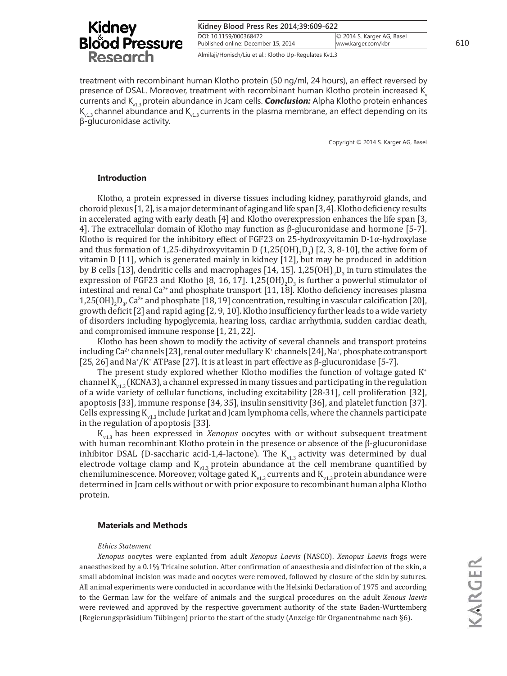| Kidney Blood Press Res 2014;39:609-622                        |                                                  |     |
|---------------------------------------------------------------|--------------------------------------------------|-----|
| DOI: 10.1159/000368472<br>Published online: December 15, 2014 | © 2014 S. Karger AG, Basel<br>www.karger.com/kbr | 610 |
| Almilaji/Honisch/Liu et al.: Klotho Up-Regulates Kv1.3        |                                                  |     |

treatment with recombinant human Klotho protein (50 ng/ml, 24 hours), an effect reversed by presence of DSAL. Moreover, treatment with recombinant human Klotho protein increased  $K$ currents and K<sub>13</sub> protein abundance in Jcam cells. **Conclusion:** Alpha Klotho protein enhances  $K_{v1,3}$  channel abundance and  $K_{v1,3}$  currents in the plasma membrane, an effect depending on its β-glucuronidase activity.

Copyright © 2014 S. Karger AG, Basel

### **Introduction**

Klotho, a protein expressed in diverse tissues including kidney, parathyroid glands, and choroid plexus [1, 2], is a major determinant of aging and life span [3, 4]. Klotho deficiency results in accelerated aging with early death [4] and Klotho overexpression enhances the life span [3, 4]. The extracellular domain of Klotho may function as β-glucuronidase and hormone [5-7]. Klotho is required for the inhibitory effect of FGF23 on 25-hydroxyvitamin D-1 $\alpha$ -hydroxylase and thus formation of 1,25-dihydroxyvitamin D  $(1,25(OH)_2D_3)$  [2, 3, 8-10], the active form of vitamin D [11], which is generated mainly in kidney [12], but may be produced in addition by B cells [13], dendritic cells and macrophages [14, 15].  $1,25(OH)_{2}D_{3}$  in turn stimulates the expression of FGF23 and Klotho [8, 16, 17].  $1,25(OH)_{2}D_{3}$  is further a powerful stimulator of intestinal and renal  $Ca^{2+}$  and phosphate transport [11, 18]. Klotho deficiency increases plasma 1,25(OH)<sub>2</sub>D<sub>3</sub>, Ca<sup>2+</sup> and phosphate [18, 19] concentration, resulting in vascular calcification [20], growth deficit [2] and rapid aging [2, 9, 10]. Klotho insufficiency further leads to a wide variety of disorders including hypoglycemia, hearing loss, cardiac arrhythmia, sudden cardiac death, and compromised immune response [1, 21, 22].

Klotho has been shown to modify the activity of several channels and transport proteins including Ca<sup>2+</sup> channels [23], renal outer medullary K<sup>+</sup> channels [24], Na<sup>+</sup>, phosphate cotransport [25, 26] and Na<sup>+</sup>/K<sup>+</sup> ATPase [27]. It is at least in part effective as β-glucuronidase [5-7].

The present study explored whether Klotho modifies the function of voltage gated  $K^*$ channel  $K_{v1,3}$  (KCNA3), a channel expressed in many tissues and participating in the regulation of a wide variety of cellular functions, including excitability [28-31], cell proliferation [32], apoptosis [33], immune response [34, 35], insulin sensitivity [36], and platelet function [37]. Cells expressing  $K_{v13}$  include Jurkat and Jcam lymphoma cells, where the channels participate in the regulation of apoptosis [33].

Kv1.3 has been expressed in *Xenopus* oocytes with or without subsequent treatment with human recombinant Klotho protein in the presence or absence of the β-glucuronidase inhibitor DSAL (D-saccharic acid-1,4-lactone). The  $K_{v1,3}$  activity was determined by dual electrode voltage clamp and  $K_{v1,3}$  protein abundance at the cell membrane quantified by chemiluminescence. Moreover, voltage gated  $K_{v1,3}$  currents and  $K_{v1,3}$  protein abundance were determined in Jcam cells without or with prior exposure to recombinant human alpha Klotho protein.

### **Materials and Methods**

#### *Ethics Statement*

*Xenopus* oocytes were explanted from adult *Xenopus Laevis* (NASCO). *Xenopus Laevis* frogs were anaesthesized by a 0.1% Tricaine solution. After confirmation of anaesthesia and disinfection of the skin, a small abdominal incision was made and oocytes were removed, followed by closure of the skin by sutures. All animal experiments were conducted in accordance with the Helsinki Declaration of 1975 and according to the German law for the welfare of animals and the surgical procedures on the adult *Xenous laevis* were reviewed and approved by the respective government authority of the state Baden-Württemberg (Regierungspräsidium Tübingen) prior to the start of the study (Anzeige für Organentnahme nach §6).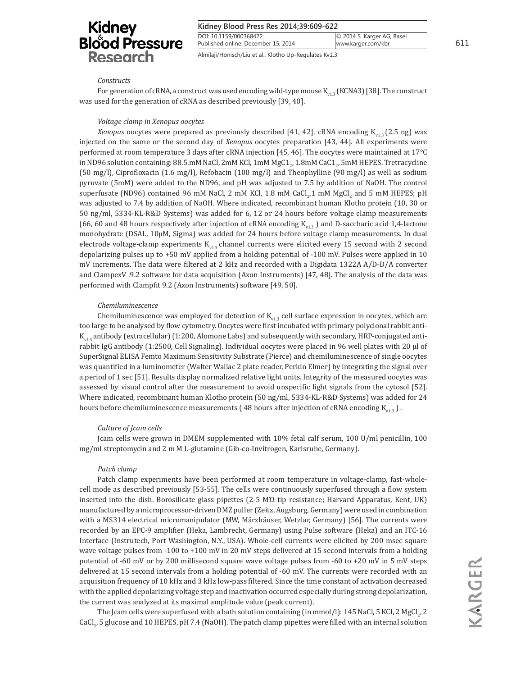| Kidney Blood Press Res 2014;39:609-622           |  |
|--------------------------------------------------|--|
| © 2014 S. Karger AG, Basel<br>www.karger.com/kbr |  |
|                                                  |  |

Almilaji/Honisch/Liu et al.: Klotho Up-Regulates Kv1.3

#### *Constructs*

For generation of cRNA, a construct was used encoding wild-type mouse  $K_{v13}$  (KCNA3) [38]. The construct was used for the generation of cRNA as described previously [39, 40].

#### *Voltage clamp in Xenopus oocytes*

*Xenopus* oocytes were prepared as previously described [41, 42]. cRNA encoding K<sub>v12</sub> (2.5 ng) was injected on the same or the second day of *Xenopus* oocytes preparation [43, 44]. All experiments were performed at room temperature 3 days after cRNA injection [45, 46]. The oocytes were maintained at 17°C in ND96 solution containing: 88.5.mM NaCl, 2mM KCl, 1mM MgC1 $_{\mathrm{2^{\prime}}}$ 1.8mM CaC1 $_{\mathrm{2^{\prime}}}$ 5mM HEPES. Tretracycline (50 mg/l), Ciprofloxacin (1.6 mg/l), Refobacin (100 mg/l) and Theophylline (90 mg/l) as well as sodium pyruvate (5mM) were added to the ND96, and pH was adjusted to 7.5 by addition of NaOH. The control superfusate (ND96) contained 96 mM NaCl, 2 mM KCl, 1.8 mM CaCl $_{_2}$ 1 mM MgCl $_{_2}$  and 5 mM HEPES; pH was adjusted to 7.4 by addition of NaOH. Where indicated, recombinant human Klotho protein (10, 30 or 50 ng/ml, 5334-KL-R&D Systems) was added for 6, 12 or 24 hours before voltage clamp measurements (66, 60 and 48 hours respectively after injection of cRNA encoding  $K_{v13}$ ) and D-saccharic acid 1,4-lactone monohydrate (DSAL, 10µM, Sigma) was added for 24 hours before voltage clamp measurements. In dual electrode voltage-clamp experiments  $K_{v13}$  channel currents were elicited every 15 second with 2 second depolarizing pulses up to +50 mV applied from a holding potential of -100 mV. Pulses were applied in 10 mV increments. The data were filtered at 2 kHz and recorded with a Digidata 1322A A/D-D/A converter and ClampexV .9.2 software for data acquisition (Axon Instruments) [47, 48]. The analysis of the data was performed with Clampfit 9.2 (Axon Instruments) software [49, 50].

#### *Chemiluminescence*

Chemiluminescence was employed for detection of  $K_{v1.3}$  cell surface expression in oocytes, which are too large to be analysed by flow cytometry. Oocytes were first incubated with primary polyclonal rabbit anti- $K_{0,1}$  antibody (extracellular) (1:200, Alomone Labs) and subsequently with secondary, HRP-conjugated antirabbit IgG antibody (1:2500, Cell Signaling). Individual oocytes were placed in 96 well plates with 20 µl of SuperSignal ELISA Femto Maximum Sensitivity Substrate (Pierce) and chemiluminescence of single oocytes was quantified in a luminometer (Walter Wallac 2 plate reader, Perkin Elmer) by integrating the signal over a period of 1 sec [51]. Results display normalized relative light units. Integrity of the measured oocytes was assessed by visual control after the measurement to avoid unspecific light signals from the cytosol [52]. Where indicated, recombinant human Klotho protein (50 ng/ml, 5334-KL-R&D Systems) was added for 24 hours before chemiluminescence measurements (48 hours after injection of cRNA encoding  $K_{n+2}$ ).

### *Culture of Jcam cells*

Jcam cells were grown in DMEM supplemented with 10% fetal calf serum, 100 U/ml penicillin, 100 mg/ml streptomycin and 2 m M L-glutamine (Gib-co-Invitrogen, Karlsruhe, Germany).

### *Patch clamp*

Patch clamp experiments have been performed at room temperature in voltage-clamp, fast-wholecell mode as described previously [53-55]. The cells were continuously superfused through a flow system inserted into the dish. Borosilicate glass pipettes (2-5 MΏ tip resistance; Harvard Apparatus, Kent, UK) manufactured by a microprocessor-driven DMZ puller (Zeitz, Augsburg, Germany) were used in combination with a MS314 electrical micromanipulator (MW, Märzhäuser, Wetzlar, Germany) [56]. The currents were recorded by an EPC-9 amplifier (Heka, Lambrecht, Germany) using Pulse software (Heka) and an ITC-16 Interface (Instrutech, Port Washington, N.Y., USA). Whole-cell currents were elicited by 200 msec square wave voltage pulses from -100 to +100 mV in 20 mV steps delivered at 15 second intervals from a holding potential of -60 mV or by 200 millisecond square wave voltage pulses from -60 to +20 mV in 5 mV steps delivered at 15 second intervals from a holding potential of -60 mV. The currents were recorded with an acquisition frequency of 10 kHz and 3 kHz low-pass filtered. Since the time constant of activation decreased with the applied depolarizing voltage step and inactivation occurred especially during strong depolarization, the current was analyzed at its maximal amplitude value (peak current).

The Jcam cells were superfused with a bath solution containing (in mmol/l): 145 NaCl, 5 KCl, 2 MgCl<sub>2</sub>, 2 CaCl<sub>2</sub>, 5 glucose and 10 HEPES, pH 7.4 (NaOH). The patch clamp pipettes were filled with an internal solution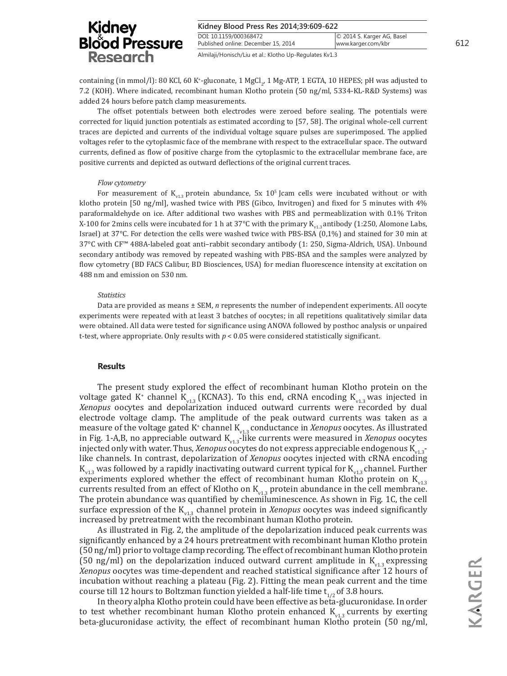| <b>Kidney</b>         | Kidney Blood Press Res 2014;39:609-622                        |                                                  |     |
|-----------------------|---------------------------------------------------------------|--------------------------------------------------|-----|
| <b>Blood Pressure</b> | DOI: 10.1159/000368472<br>Published online: December 15, 2014 | © 2014 S. Karger AG, Basel<br>www.karger.com/kbr | 612 |
| <b>Research</b>       | Almilaji/Honisch/Liu et al.: Klotho Up-Regulates Kv1.3        |                                                  |     |

containing (in mmol/l): 80 KCl, 60 K<sup>+</sup>-gluconate, 1 MgCl<sub>2</sub>, 1 Mg-ATP, 1 EGTA, 10 HEPES; pH was adjusted to 7.2 (KOH). Where indicated, recombinant human Klotho protein (50 ng/ml, 5334-KL-R&D Systems) was added 24 hours before patch clamp measurements.

The offset potentials between both electrodes were zeroed before sealing. The potentials were corrected for liquid junction potentials as estimated according to [57, 58]. The original whole-cell current traces are depicted and currents of the individual voltage square pulses are superimposed. The applied voltages refer to the cytoplasmic face of the membrane with respect to the extracellular space. The outward currents, defined as flow of positive charge from the cytoplasmic to the extracellular membrane face, are positive currents and depicted as outward deflections of the original current traces.

#### *Flow cytometry*

For measurement of  $K_{v13}$  protein abundance, 5x 10<sup>5</sup> Jcam cells were incubated without or with klotho protein [50 ng/ml], washed twice with PBS (Gibco, Invitrogen) and fixed for 5 minutes with 4% paraformaldehyde on ice. After additional two washes with PBS and permeablization with 0.1% Triton X-100 for 2mins cells were incubated for 1 h at 37°C with the primary  $K_{v13}$  antibody (1:250, Alomone Labs, Israel) at 37°C. For detection the cells were washed twice with PBS-BSA (0,1%) and stained for 30 min at 37°C with CF™ 488A-labeled goat anti–rabbit secondary antibody (1: 250, Sigma-Aldrich, USA). Unbound secondary antibody was removed by repeated washing with PBS-BSA and the samples were analyzed by flow cytometry (BD FACS Calibur, BD Biosciences, USA) for median fluorescence intensity at excitation on 488 nm and emission on 530 nm.

#### *Statistics*

Data are provided as means ± SEM, *n* represents the number of independent experiments. All oocyte experiments were repeated with at least 3 batches of oocytes; in all repetitions qualitatively similar data were obtained. All data were tested for significance using ANOVA followed by posthoc analysis or unpaired t-test, where appropriate. Only results with *p* < 0.05 were considered statistically significant.

#### **Results**

The present study explored the effect of recombinant human Klotho protein on the voltage gated K<sup>+</sup> channel K<sub>y1.3</sub> (KCNA3). To this end, cRNA encoding K<sub>y1.3</sub> was injected in *Xenopus* oocytes and depolarization induced outward currents were recorded by dual electrode voltage clamp. The amplitude of the peak outward currents was taken as a measure of the voltage gated K<sup>+</sup> channel K<sub>v1.3</sub> conductance in *Xenopus* oocytes. As illustrated in Fig. 1-A,B, no appreciable outward  $K_{v1.3}$ -like currents were measured in *Xenopus* oocytes injected only with water. Thus, *Xenopus* oocytes do not express appreciable endogenous  $K_{v1,3}$ like channels. In contrast, depolarization of *Xenopus* oocytes injected with cRNA encoding  $K_{v1.3}$  was followed by a rapidly inactivating outward current typical for  $K_{v1.3}$  channel. Further experiments explored whether the effect of recombinant human Klotho protein on  $K_{\nu13}$ currents resulted from an effect of Klotho on  $K_{v1.3}$  protein abundance in the cell membrane. The protein abundance was quantified by chemiluminescence. As shown in Fig. 1C, the cell surface expression of the  $K_{v1.3}$  channel protein in *Xenopus* oocytes was indeed significantly increased by pretreatment with the recombinant human Klotho protein.

As illustrated in Fig. 2, the amplitude of the depolarization induced peak currents was significantly enhanced by a 24 hours pretreatment with recombinant human Klotho protein (50 ng/ml) prior to voltage clamp recording. The effect of recombinant human Klotho protein (50 ng/ml) on the depolarization induced outward current amplitude in  $K_{v13}$  expressing *Xenopus* oocytes was time-dependent and reached statistical significance after 12 hours of incubation without reaching a plateau (Fig. 2). Fitting the mean peak current and the time course till 12 hours to Boltzman function yielded a half-life time  $t_{1/2}$  of 3.8 hours.

In theory alpha Klotho protein could have been effective as beta-glucuronidase. In order to test whether recombinant human Klotho protein enhanced  $K_{v1.3}$  currents by exerting beta-glucuronidase activity, the effect of recombinant human Klotho protein (50 ng/ml,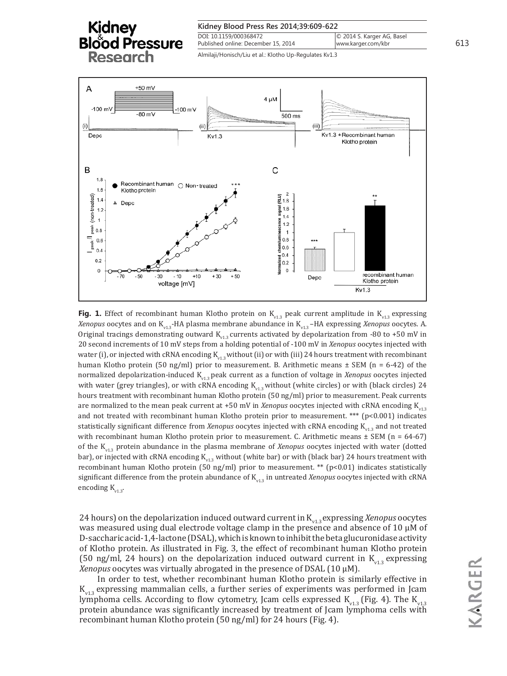



**Fig. 1.** Effect of recombinant human Klotho protein on  $K_{v1.3}$  peak current amplitude in  $K_{v1.3}$  expressing *Xenopus* oocytes and on K<sub>v1.3</sub>-HA plasma membrane abundance in K<sub>v1.3</sub>-HA expressing *Xenopus* oocytes. A. Original tracings demonstrating outward  $K_{v1.3}$  currents activated by depolarization from -80 to +50 mV in 20 second increments of 10 mV steps from a holding potential of -100 mV in *Xenopus* oocytes injected with water (i), or injected with cRNA encoding  $K_{v13}$  without (ii) or with (iii) 24 hours treatment with recombinant human Klotho protein (50 ng/ml) prior to measurement. B. Arithmetic means ± SEM (n = 6-42) of the normalized depolarization-induced Kv1.3 peak current as a function of voltage in *Xenopus* oocytes injected with water (grey triangles), or with cRNA encoding  $K_{v13}$  without (white circles) or with (black circles) 24 hours treatment with recombinant human Klotho protein (50 ng/ml) prior to measurement. Peak currents are normalized to the mean peak current at +50 mV in *Xenopus* oocytes injected with cRNA encoding  $K_{v13}$ and not treated with recombinant human Klotho protein prior to measurement. \*\*\* (p<0.001) indicates statistically significant difference from *Xenopus* oocytes injected with cRNA encoding K<sub>v13</sub> and not treated with recombinant human Klotho protein prior to measurement. C. Arithmetic means  $\pm$  SEM (n = 64-67) of the Kv1.3 protein abundance in the plasma membrane of *Xenopus* oocytes injected with water (dotted bar), or injected with cRNA encoding  $K_{v13}$  without (white bar) or with (black bar) 24 hours treatment with recombinant human Klotho protein (50 ng/ml) prior to measurement. \*\* (p<0.01) indicates statistically significant difference from the protein abundance of  $K_{v13}$  in untreated *Xenopus* oocytes injected with cRNA encoding  $K_{v13}$ .

24 hours) on the depolarization induced outward current in K<sub>v1.3</sub> expressing *Xenopus* oocytes was measured using dual electrode voltage clamp in the presence and absence of 10  $\mu$ M of D-saccharic acid-1,4-lactone (DSAL), which is known to inhibit the beta glucuronidase activity of Klotho protein. As illustrated in Fig. 3, the effect of recombinant human Klotho protein (50 ng/ml, 24 hours) on the depolarization induced outward current in  $K_{v13}$  expressing *Xenopus* oocytes was virtually abrogated in the presence of DSAL (10 µM).

In order to test, whether recombinant human Klotho protein is similarly effective in  $K_{\nu13}$  expressing mammalian cells, a further series of experiments was performed in Jcam lymphoma cells. According to flow cytometry, Jcam cells expressed  $K_{v13}$  (Fig. 4). The  $K_{v13}$ protein abundance was significantly increased by treatment of Jcam lymphoma cells with recombinant human Klotho protein (50 ng/ml) for 24 hours (Fig. 4).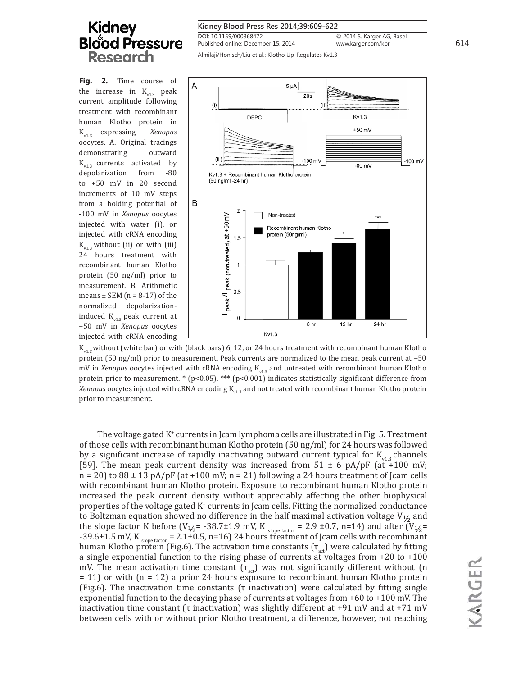**Fig. 2.** Time course of the increase in  $K_{v1.3}$  peak current amplitude following treatment with recombinant human Klotho protein in Kv1.3 expressing *Xenopus*  oocytes. A. Original tracings demonstrating outward  $K_{v1.3}$  currents activated by<br>depolarization from -80 depolarization to +50 mV in 20 second increments of 10 mV steps from a holding potential of -100 mV in *Xenopus* oocytes injected with water (i), or injected with cRNA encoding  $K_{v13}$  without (ii) or with (iii) 24 hours treatment with recombinant human Klotho protein (50 ng/ml) prior to measurement. B. Arithmetic means  $\pm$  SEM (n = 8-17) of the normalized depolarizationinduced  $K_{v1.3}$  peak current at +50 mV in *Xenopus* oocytes injected with cRNA encoding

| Kidney Blood Press Res 2014;39:609-622                                 |                                                  |     |
|------------------------------------------------------------------------|--------------------------------------------------|-----|
| DOI: 10.1159/000368472<br>Published online: December 15, 2014          | © 2014 S. Karger AG, Basel<br>www.karger.com/kbr | 614 |
| . 3- 14 المعمول بعده الصالح والمعامل المناصر: 1/ وامونعوا الأنوانووا A |                                                  |     |

Almilaji/Honisch/Liu et al.: Klotho Up-Regulates Kv1.3



 $K_{v13}$  without (white bar) or with (black bars) 6, 12, or 24 hours treatment with recombinant human Klotho protein (50 ng/ml) prior to measurement. Peak currents are normalized to the mean peak current at +50 mV in *Xenopus* oocytes injected with cRNA encoding K<sub>v13</sub> and untreated with recombinant human Klotho protein prior to measurement. \* (p<0.05), \*\*\* (p<0.001) indicates statistically significant difference from *Xenopus* oocytes injected with cRNA encoding K<sub>112</sub> and not treated with recombinant human Klotho protein prior to measurement.

The voltage gated K<sup>+</sup> currents in Jcam lymphoma cells are illustrated in Fig. 5. Treatment of those cells with recombinant human Klotho protein (50 ng/ml) for 24 hours was followed by a significant increase of rapidly inactivating outward current typical for  $K_{v1,3}$  channels [59]. The mean peak current density was increased from  $51 \pm 6$  pA/pF (at +100 mV;  $n = 20$ ) to  $88 \pm 13$  pA/pF (at +100 mV;  $n = 21$ ) following a 24 hours treatment of Jcam cells with recombinant human Klotho protein. Exposure to recombinant human Klotho protein increased the peak current density without appreciably affecting the other biophysical properties of the voltage gated K<sup>+</sup> currents in Jcam cells. Fitting the normalized conductance to Boltzman equation showed no difference in the half maximal activation voltage  $V_{1/2}$  and the slope factor K before  $(V_{1/2} = -38.7 \pm 1.9 \text{ mV}$ , K  $_{\text{slope factor}} = 2.9 \pm 0.7$ , n=14) and after  $(V_{1/2} =$ -39.6±1.5 mV, K  $_{slope\ factor}$  = 2.1±0.5, n=16) 24 hours treatment of Jcam cells with recombinant human Klotho protein (Fig.6). The activation time constants ( $\tau_{\text{act}}$ ) were calculated by fitting a single exponential function to the rising phase of currents at voltages from +20 to +100 mV. The mean activation time constant  $(\tau_{\text{act}})$  was not significantly different without (n  $= 11$ ) or with  $(n = 12)$  a prior 24 hours exposure to recombinant human Klotho protein (Fig.6). The inactivation time constants ( $\tau$  inactivation) were calculated by fitting single exponential function to the decaying phase of currents at voltages from +60 to +100 mV. The inactivation time constant (τ inactivation) was slightly different at +91 mV and at +71 mV between cells with or without prior Klotho treatment, a difference, however, not reaching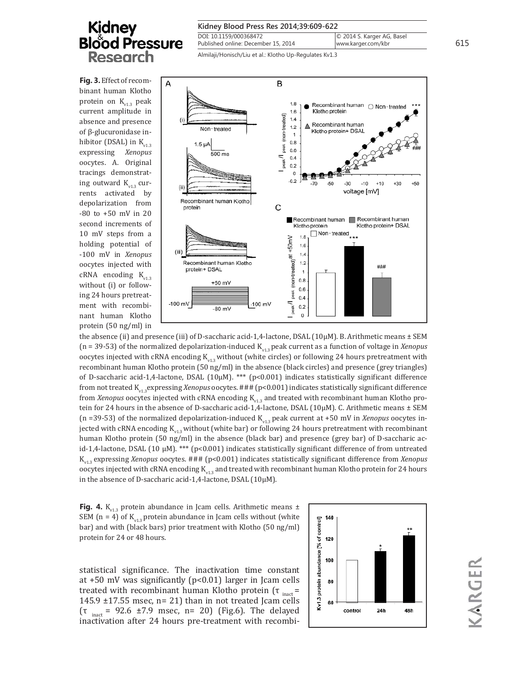**Fig. 3.** Effect of recombinant human Klotho protein on  $K_{v13}$  peak current amplitude in absence and presence of β-glucuronidase inhibitor (DSAL) in  $K_{\nu1,3}$ expressing *Xenopus*  oocytes. A. Original tracings demonstrating outward  $K_{\alpha1,2}$  currents activated by depolarization from -80 to +50 mV in 20 second increments of 10 mV steps from a holding potential of -100 mV in *Xenopus* oocytes injected with cRNA encoding  $K_{v13}$ without (i) or following 24 hours pretreatment with recombinant human Klotho protein (50 ng/ml) in

| Kidney Blood Press Res 2014;39:609-622                        |                                                  |     |
|---------------------------------------------------------------|--------------------------------------------------|-----|
| DOI: 10.1159/000368472<br>Published online: December 15, 2014 | © 2014 S. Karger AG, Basel<br>www.karger.com/kbr | 615 |
| Almilaii/Honisch/Liu et al : Klotho LIn-Requistes Ky1.3       |                                                  |     |

Almilaji/Honisch/Liu et al.: Klotho Up-Regulates Kv1.3



the absence (ii) and presence (iii) of D-saccharic acid-1,4-lactone, DSAL (10µM). B. Arithmetic means ± SEM (n = 39-53) of the normalized depolarization-induced K<sub>v1.3</sub> peak current as a function of voltage in *Xenopus* oocytes injected with cRNA encoding  $K_{v13}$  without (white circles) or following 24 hours pretreatment with recombinant human Klotho protein (50 ng/ml) in the absence (black circles) and presence (grey triangles) of D-saccharic acid-1,4-lactone, DSAL (10µM). \*\*\* (p<0.001) indicates statistically significant difference from not treated Kv1.3expressing *Xenopus* oocytes. ### (p<0.001) indicates statistically significant difference from *Xenopus* oocytes injected with cRNA encoding K<sub>v13</sub> and treated with recombinant human Klotho protein for 24 hours in the absence of D-saccharic acid-1,4-lactone, DSAL (10µM). C. Arithmetic means ± SEM (n =39-53) of the normalized depolarization-induced  $K_{v1.3}$  peak current at +50 mV in *Xenopus* oocytes injected with cRNA encoding  $K_{v1.3}$  without (white bar) or following 24 hours pretreatment with recombinant human Klotho protein (50 ng/ml) in the absence (black bar) and presence (grey bar) of D-saccharic acid-1,4-lactone, DSAL (10 µM). \*\*\* (p<0.001) indicates statistically significant difference of from untreated Kv1.3 expressing *Xenopus* oocytes. ### (p<0.001) indicates statistically significant difference from *Xenopus* oocytes injected with cRNA encoding  $K_{v1.3}$  and treated with recombinant human Klotho protein for 24 hours in the absence of D-saccharic acid-1,4-lactone, DSAL (10µM).

**Fig. 4.**  $K_{v1.3}$  protein abundance in Jcam cells. Arithmetic means  $\pm$ SEM (n = 4) of  $K_{v13}$  protein abundance in Jcam cells without (white bar) and with (black bars) prior treatment with Klotho (50 ng/ml) protein for 24 or 48 hours.

statistical significance. The inactivation time constant at +50 mV was significantly (p<0.01) larger in Jcam cells treated with recombinant human Klotho protein ( $\tau_{\text{inact}}$  = 145.9  $\pm$ 17.55 msec, n= 21) than in not treated Jcam cells ( $\tau$ <sub>inact</sub> = 92.6 ±7.9 msec, n= 20) (Fig.6). The delayed inactivation after 24 hours pre-treatment with recombi-

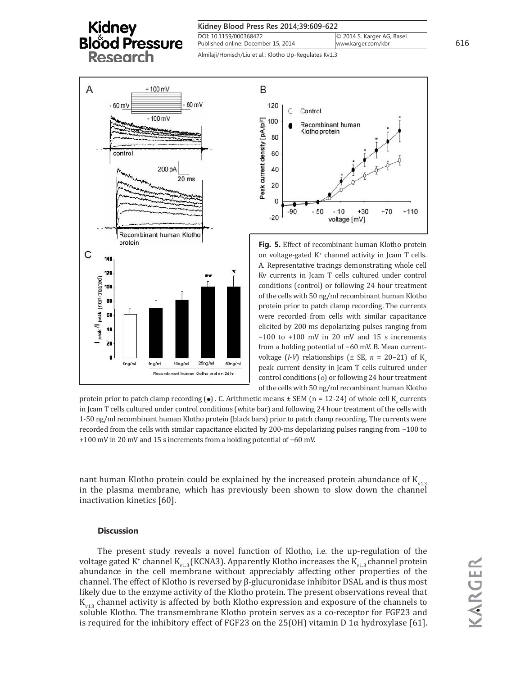| Kidney Blood Press Res 2014;39:609-622           |     |
|--------------------------------------------------|-----|
| © 2014 S. Karger AG, Basel<br>www.karger.com/kbr | 616 |
|                                                  |     |

Almilaji/Honisch/Liu et al.: Klotho Up-Regulates Kv1.3





**Fig. 5.** Effect of recombinant human Klotho protein on voltage-gated K<sup>+</sup> channel activity in Jcam T cells. A. Representative tracings demonstrating whole cell Kv currents in Jcam T cells cultured under control conditions (control) or following 24 hour treatment of the cells with 50 ng/ml recombinant human Klotho protein prior to patch clamp recording. The currents were recorded from cells with similar capacitance elicited by 200 ms depolarizing pulses ranging from −100 to +100 mV in 20 mV and 15 s increments from a holding potential of −60 mV. B. Mean currentvoltage  $(I-V)$  relationships  $(\pm \text{ SE}, n = 20-21)$  of K<sub>v</sub> peak current density in Jcam T cells cultured under control conditions (ο) or following 24 hour treatment of the cells with 50 ng/ml recombinant human Klotho

protein prior to patch clamp recording ( $\bullet$ ). C. Arithmetic means  $\pm$  SEM (n = 12-24) of whole cell K<sub>y</sub> currents in Jcam T cells cultured under control conditions (white bar) and following 24 hour treatment of the cells with 1-50 ng/ml recombinant human Klotho protein (black bars) prior to patch clamp recording. The currents were recorded from the cells with similar capacitance elicited by 200-ms depolarizing pulses ranging from −100 to +100 mV in 20 mV and 15 s increments from a holding potential of −60 mV.

nant human Klotho protein could be explained by the increased protein abundance of  $K_{v1,3}$ in the plasma membrane, which has previously been shown to slow down the channel inactivation kinetics [60].

### **Discussion**

The present study reveals a novel function of Klotho, i.e. the up-regulation of the voltage gated K<sup>+</sup> channel K<sub>v1.3</sub> (KCNA3). Apparently Klotho increases the K<sub>v1.3</sub> channel protein abundance in the cell membrane without appreciably affecting other properties of the channel. The effect of Klotho is reversed by β-glucuronidase inhibitor DSAL and is thus most likely due to the enzyme activity of the Klotho protein. The present observations reveal that  $K_{\nu13}$  channel activity is affected by both Klotho expression and exposure of the channels to soluble Klotho. The transmembrane Klotho protein serves as a co-receptor for FGF23 and is required for the inhibitory effect of FGF23 on the 25(OH) vitamin D 1 $\alpha$  hydroxylase [61].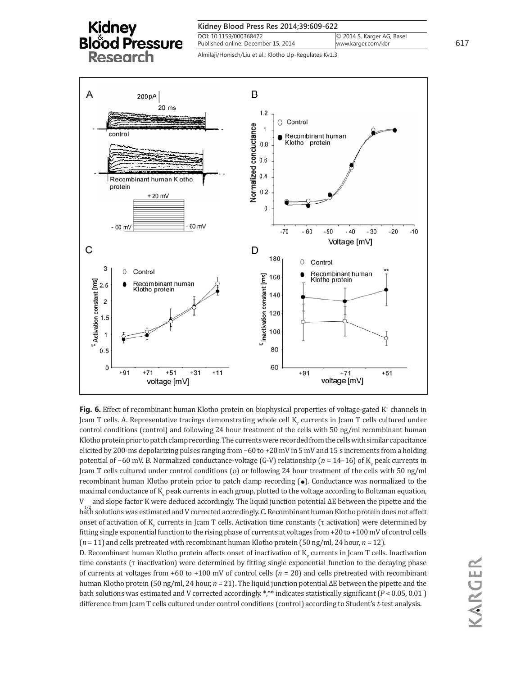



Fig. 6. Effect of recombinant human Klotho protein on biophysical properties of voltage-gated K<sup>+</sup> channels in Jcam T cells. A. Representative tracings demonstrating whole cell  $\rm K_{_{v}}$  currents in Jcam T cells cultured under control conditions (control) and following 24 hour treatment of the cells with 50 ng/ml recombinant human Klotho protein prior to patch clamp recording. The currents were recorded from the cells with similar capacitance elicited by 200-ms depolarizing pulses ranging from −60 to +20 mV in 5 mV and 15 s increments from a holding potential of −60 mV. B. Normalized conductance-voltage (G-V) relationship (*n* = 14–16) of K<sub>v</sub> peak currents in Jcam T cells cultured under control conditions (ο) or following 24 hour treatment of the cells with 50 ng/ml recombinant human Klotho protein prior to patch clamp recording  $\Theta$ ). Conductance was normalized to the maximal conductance of  $\mathrm{K}_{_{\mathrm{v}}}$  peak currents in each group, plotted to the voltage according to Boltzman equation, V  $b_{\rm a}^{1/2}$  solutions was estimated and V corrected accordingly. C. Recombinant human Klotho protein does not affect and slope factor K were deduced accordingly. The liquid junction potential ΔE between the pipette and the onset of activation of K<sub>ν</sub> currents in Jcam T cells. Activation time constants (τ activation) were determined by fitting single exponential function to the rising phase of currents at voltages from +20 to +100 mV of control cells (*n* = 11) and cells pretreated with recombinant human Klotho protein (50 ng/ml, 24 hour, *n* = 12).

D. Recombinant human Klotho protein affects onset of inactivation of  $K_{\nu}$  currents in Jcam T cells. Inactivation time constants (τ inactivation) were determined by fitting single exponential function to the decaying phase of currents at voltages from +60 to +100 mV of control cells (*n* = 20) and cells pretreated with recombinant human Klotho protein (50 ng/ml, 24 hour, *n* = 21). The liquid junction potential ΔE between the pipette and the bath solutions was estimated and V corrected accordingly. \*,\*\* indicates statistically significant (*P* < 0.05, 0.01 ) difference from Jcam T cells cultured under control conditions (control) according to Student's *t*-test analysis.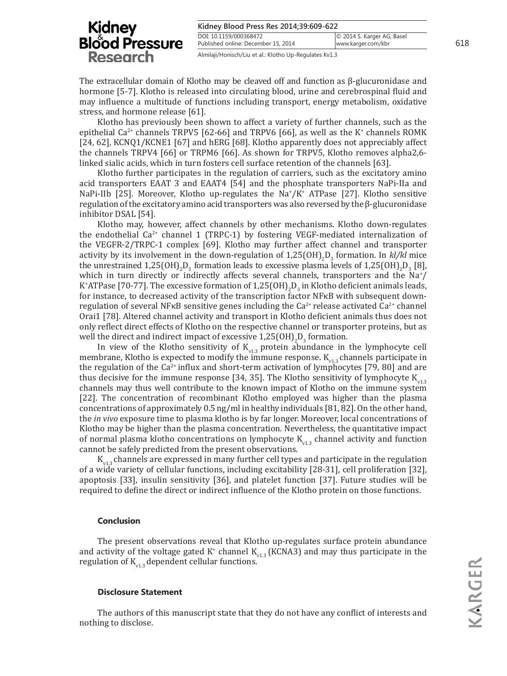#### **Kidney Blood Press Res 2014;39:609-622** DOI: 10.1159/000368472 © 2014 S. Karger AG, Basel

### **Kidney Blood Pressure Research**

Published online: December 15, 2014 Almilaji/Honisch/Liu et al.: Klotho Up-Regulates Kv1.3

The extracellular domain of Klotho may be cleaved off and function as β-glucuronidase and hormone [5-7]. Klotho is released into circulating blood, urine and cerebrospinal fluid and may influence a multitude of functions including transport, energy metabolism, oxidative stress, and hormone release [61].

Klotho has previously been shown to affect a variety of further channels, such as the epithelial Ca<sup>2+</sup> channels TRPV5 [62-66] and TRPV6 [66], as well as the K<sup>+</sup> channels ROMK [24, 62], KCNQ1/KCNE1 [67] and hERG [68]. Klotho apparently does not appreciably affect the channels TRPV4 [66] or TRPM6 [66]. As shown for TRPV5, Klotho removes alpha2,6 linked sialic acids, which in turn fosters cell surface retention of the channels [63].

Klotho further participates in the regulation of carriers, such as the excitatory amino acid transporters EAAT 3 and EAAT4 [54] and the phosphate transporters NaPi-IIa and NaPi-IIb [25]. Moreover, Klotho up-regulates the Na<sup>+</sup>/K<sup>+</sup> ATPase [27]. Klotho sensitive regulation of the excitatory amino acid transporters was also reversed by the β-glucuronidase inhibitor DSAL [54].

Klotho may, however, affect channels by other mechanisms. Klotho down-regulates the endothelial  $Ca^{2+}$  channel 1 (TRPC-1) by fostering VEGF-mediated internalization of the VEGFR-2/TRPC-1 complex [69]. Klotho may further affect channel and transporter activity by its involvement in the down-regulation of 1,25(OH)<sub>2</sub>D<sub>3</sub> formation. In *kl/kl* mice the unrestrained  $1,25(OH)_2D_3$  formation leads to excessive plasma levels of  $1,25(OH)_2D_3$  [8], which in turn directly or indirectly affects several channels, transporters and the  $\text{Na}^*/$ K\*ATPase [70-77]. The excessive formation of  $1,25(OH)_{2}D_{3}$  in Klotho deficient animals leads, for instance, to decreased activity of the transcription factor NFκB with subsequent downregulation of several NF<sub>KB</sub> sensitive genes including the  $Ca^{2+}$  release activated  $Ca^{2+}$  channel Orai1 [78]. Altered channel activity and transport in Klotho deficient animals thus does not only reflect direct effects of Klotho on the respective channel or transporter proteins, but as well the direct and indirect impact of excessive  $1,25(OH)_{2}D_{3}$  formation.

In view of the Klotho sensitivity of  $K_{v1,3}$  protein abundance in the lymphocyte cell membrane, Klotho is expected to modify the immune response.  $K_{v13}$  channels participate in the regulation of the  $Ca^{2+}$  influx and short-term activation of lymphocytes [79, 80] and are thus decisive for the immune response [34, 35]. The Klotho sensitivity of lymphocyte  $K_{v13}$ channels may thus well contribute to the known impact of Klotho on the immune system [22]. The concentration of recombinant Klotho employed was higher than the plasma concentrations of approximately 0.5 ng/ml in healthy individuals [81, 82]. On the other hand, the *in vivo* exposure time to plasma klotho is by far longer. Moreover, local concentrations of Klotho may be higher than the plasma concentration. Nevertheless, the quantitative impact of normal plasma klotho concentrations on lymphocyte  $K_{v13}$  channel activity and function cannot be safely predicted from the present observations.

 $K_{v13}$  channels are expressed in many further cell types and participate in the regulation of a wide variety of cellular functions, including excitability [28-31], cell proliferation [32], apoptosis [33], insulin sensitivity [36], and platelet function [37]. Future studies will be required to define the direct or indirect influence of the Klotho protein on those functions.

### **Conclusion**

The present observations reveal that Klotho up-regulates surface protein abundance and activity of the voltage gated  $K^*$  channel  $K_{v1.3}$  (KCNA3) and may thus participate in the regulation of  $K_{v1,3}$  dependent cellular functions.

### **Disclosure Statement**

The authors of this manuscript state that they do not have any conflict of interests and nothing to disclose.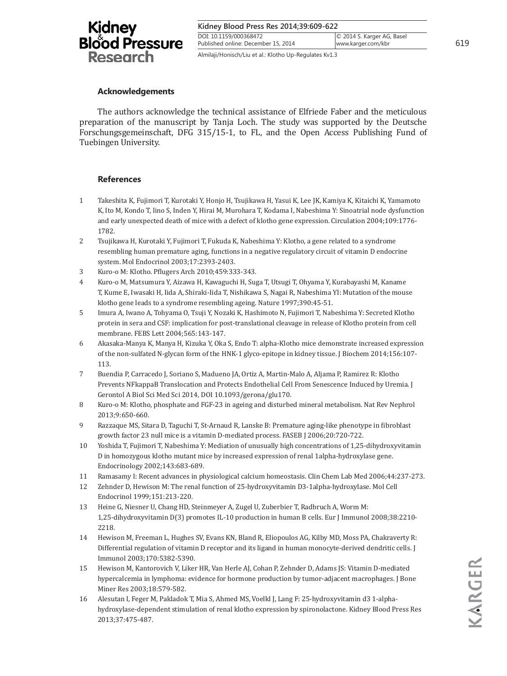| Kidney<br>Blood Pressure<br><b>Research</b> |
|---------------------------------------------|
|---------------------------------------------|

| Kidney Blood Press Res 2014;39:609-622 |                            |     |
|----------------------------------------|----------------------------|-----|
| DOI: 10.1159/000368472                 | © 2014 S. Karger AG, Basel |     |
| Published online: December 15, 2014    | www.karger.com/kbr         | 619 |

Almilaji/Honisch/Liu et al.: Klotho Up-Regulates Kv1.3

### **Acknowledgements**

The authors acknowledge the technical assistance of Elfriede Faber and the meticulous preparation of the manuscript by Tanja Loch. The study was supported by the Deutsche Forschungsgemeinschaft, DFG 315/15-1, to FL, and the Open Access Publishing Fund of Tuebingen University.

### **References**

- 1 Takeshita K, Fujimori T, Kurotaki Y, Honjo H, Tsujikawa H, Yasui K, Lee JK, Kamiya K, Kitaichi K, Yamamoto K, Ito M, Kondo T, Iino S, Inden Y, Hirai M, Murohara T, Kodama I, Nabeshima Y: Sinoatrial node dysfunction and early unexpected death of mice with a defect of klotho gene expression. Circulation 2004;109:1776- 1782.
- 2 Tsujikawa H, Kurotaki Y, Fujimori T, Fukuda K, Nabeshima Y: Klotho, a gene related to a syndrome resembling human premature aging, functions in a negative regulatory circuit of vitamin D endocrine system. Mol Endocrinol 2003;17:2393-2403.
- 3 Kuro-o M: Klotho. Pflugers Arch 2010;459:333-343.
- 4 Kuro-o M, Matsumura Y, Aizawa H, Kawaguchi H, Suga T, Utsugi T, Ohyama Y, Kurabayashi M, Kaname T, Kume E, Iwasaki H, Iida A, Shiraki-Iida T, Nishikawa S, Nagai R, Nabeshima YI: Mutation of the mouse klotho gene leads to a syndrome resembling ageing. Nature 1997;390:45-51.
- 5 Imura A, Iwano A, Tohyama O, Tsuji Y, Nozaki K, Hashimoto N, Fujimori T, Nabeshima Y: Secreted Klotho protein in sera and CSF: implication for post-translational cleavage in release of Klotho protein from cell membrane. FEBS Lett 2004;565:143-147.
- 6 Akasaka-Manya K, Manya H, Kizuka Y, Oka S, Endo T: alpha-Klotho mice demonstrate increased expression of the non-sulfated N-glycan form of the HNK-1 glyco-epitope in kidney tissue. J Biochem 2014;156:107- 113.
- 7 Buendia P, Carracedo J, Soriano S, Madueno JA, Ortiz A, Martin-Malo A, Aljama P, Ramirez R: Klotho Prevents NFkappaB Translocation and Protects Endothelial Cell From Senescence Induced by Uremia. J Gerontol A Biol Sci Med Sci 2014, DOI 10.1093/gerona/glu170.
- 8 Kuro-o M: Klotho, phosphate and FGF-23 in ageing and disturbed mineral metabolism. Nat Rev Nephrol 2013;9:650-660.
- 9 Razzaque MS, Sitara D, Taguchi T, St-Arnaud R, Lanske B: Premature aging-like phenotype in fibroblast growth factor 23 null mice is a vitamin D-mediated process. FASEB J 2006;20:720-722.
- 10 Yoshida T, Fujimori T, Nabeshima Y: Mediation of unusually high concentrations of 1,25-dihydroxyvitamin D in homozygous klotho mutant mice by increased expression of renal 1alpha-hydroxylase gene. Endocrinology 2002;143:683-689.
- 11 Ramasamy I: Recent advances in physiological calcium homeostasis. Clin Chem Lab Med 2006;44:237-273.
- 12 Zehnder D, Hewison M: The renal function of 25-hydroxyvitamin D3-1alpha-hydroxylase. Mol Cell Endocrinol 1999;151:213-220.
- 13 Heine G, Niesner U, Chang HD, Steinmeyer A, Zugel U, Zuberbier T, Radbruch A, Worm M: 1,25-dihydroxyvitamin D(3) promotes IL-10 production in human B cells. Eur J Immunol 2008;38:2210- 2218.
- 14 Hewison M, Freeman L, Hughes SV, Evans KN, Bland R, Eliopoulos AG, Kilby MD, Moss PA, Chakraverty R: Differential regulation of vitamin D receptor and its ligand in human monocyte-derived dendritic cells. J Immunol 2003;170:5382-5390.
- 15 Hewison M, Kantorovich V, Liker HR, Van Herle AJ, Cohan P, Zehnder D, Adams JS: Vitamin D-mediated hypercalcemia in lymphoma: evidence for hormone production by tumor-adjacent macrophages. J Bone Miner Res 2003;18:579-582.
- 16 Alesutan I, Feger M, Pakladok T, Mia S, Ahmed MS, Voelkl J, Lang F: 25-hydroxyvitamin d3 1-alphahydroxylase-dependent stimulation of renal klotho expression by spironolactone. Kidney Blood Press Res 2013;37:475-487.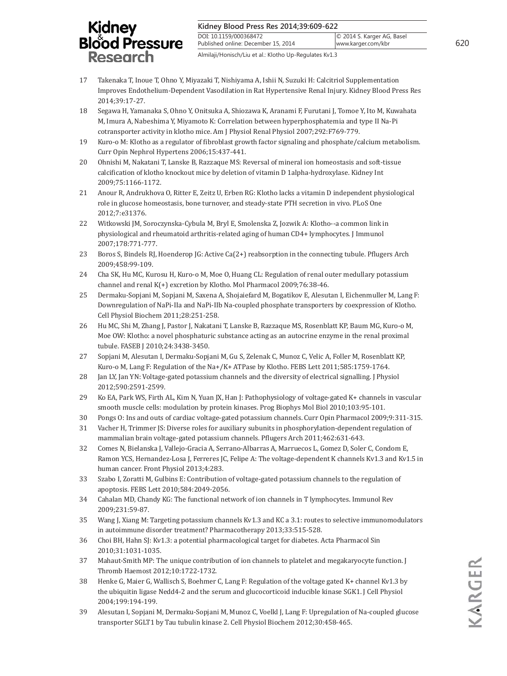#### **Kidney Blood Press Res 2014;39:609-622**

DOI: 10.1159/000368472 Published online: December 15, 2014

Almilaji/Honisch/Liu et al.: Klotho Up-Regulates Kv1.3

- 17 Takenaka T, Inoue T, Ohno Y, Miyazaki T, Nishiyama A, Ishii N, Suzuki H: Calcitriol Supplementation Improves Endothelium-Dependent Vasodilation in Rat Hypertensive Renal Injury. Kidney Blood Press Res 2014;39:17-27.
- 18 Segawa H, Yamanaka S, Ohno Y, Onitsuka A, Shiozawa K, Aranami F, Furutani J, Tomoe Y, Ito M, Kuwahata M, Imura A, Nabeshima Y, Miyamoto K: Correlation between hyperphosphatemia and type II Na-Pi cotransporter activity in klotho mice. Am J Physiol Renal Physiol 2007;292:F769-779.
- 19 Kuro-o M: Klotho as a regulator of fibroblast growth factor signaling and phosphate/calcium metabolism. Curr Opin Nephrol Hypertens 2006;15:437-441.
- 20 Ohnishi M, Nakatani T, Lanske B, Razzaque MS: Reversal of mineral ion homeostasis and soft-tissue calcification of klotho knockout mice by deletion of vitamin D 1alpha-hydroxylase. Kidney Int 2009;75:1166-1172.
- 21 Anour R, Andrukhova O, Ritter E, Zeitz U, Erben RG: Klotho lacks a vitamin D independent physiological role in glucose homeostasis, bone turnover, and steady-state PTH secretion in vivo. PLoS One 2012;7:e31376.
- 22 Witkowski JM, Soroczynska-Cybula M, Bryl E, Smolenska Z, Jozwik A: Klotho--a common link in physiological and rheumatoid arthritis-related aging of human CD4+ lymphocytes. J Immunol 2007;178:771-777.
- 23 Boros S, Bindels RJ, Hoenderop JG: Active Ca(2+) reabsorption in the connecting tubule. Pflugers Arch 2009;458:99-109.
- 24 Cha SK, Hu MC, Kurosu H, Kuro-o M, Moe O, Huang CL: Regulation of renal outer medullary potassium channel and renal K(+) excretion by Klotho. Mol Pharmacol 2009;76:38-46.
- 25 Dermaku-Sopjani M, Sopjani M, Saxena A, Shojaiefard M, Bogatikov E, Alesutan I, Eichenmuller M, Lang F: Downregulation of NaPi-IIa and NaPi-IIb Na-coupled phosphate transporters by coexpression of Klotho. Cell Physiol Biochem 2011;28:251-258.
- 26 Hu MC, Shi M, Zhang J, Pastor J, Nakatani T, Lanske B, Razzaque MS, Rosenblatt KP, Baum MG, Kuro-o M, Moe OW: Klotho: a novel phosphaturic substance acting as an autocrine enzyme in the renal proximal tubule. FASEB J 2010;24:3438-3450.
- 27 Sopjani M, Alesutan I, Dermaku-Sopjani M, Gu S, Zelenak C, Munoz C, Velic A, Foller M, Rosenblatt KP, Kuro-o M, Lang F: Regulation of the Na+/K+ ATPase by Klotho. FEBS Lett 2011;585:1759-1764.
- 28 Jan LY, Jan YN: Voltage-gated potassium channels and the diversity of electrical signalling. J Physiol 2012;590:2591-2599.
- 29 Ko EA, Park WS, Firth AL, Kim N, Yuan JX, Han J: Pathophysiology of voltage-gated K+ channels in vascular smooth muscle cells: modulation by protein kinases. Prog Biophys Mol Biol 2010;103:95-101.
- 30 Pongs O: Ins and outs of cardiac voltage-gated potassium channels. Curr Opin Pharmacol 2009;9:311-315.
- 31 Vacher H, Trimmer JS: Diverse roles for auxiliary subunits in phosphorylation-dependent regulation of mammalian brain voltage-gated potassium channels. Pflugers Arch 2011;462:631-643.
- 32 Comes N, Bielanska J, Vallejo-Gracia A, Serrano-Albarras A, Marruecos L, Gomez D, Soler C, Condom E, Ramon YCS, Hernandez-Losa J, Ferreres JC, Felipe A: The voltage-dependent K channels Kv1.3 and Kv1.5 in human cancer. Front Physiol 2013;4:283.
- 33 Szabo I, Zoratti M, Gulbins E: Contribution of voltage-gated potassium channels to the regulation of apoptosis. FEBS Lett 2010;584:2049-2056.
- 34 Cahalan MD, Chandy KG: The functional network of ion channels in T lymphocytes. Immunol Rev 2009;231:59-87.
- 35 Wang J, Xiang M: Targeting potassium channels Kv1.3 and KC a 3.1: routes to selective immunomodulators in autoimmune disorder treatment? Pharmacotherapy 2013;33:515-528.
- 36 Choi BH, Hahn SJ: Kv1.3: a potential pharmacological target for diabetes. Acta Pharmacol Sin 2010;31:1031-1035.
- 37 Mahaut-Smith MP: The unique contribution of ion channels to platelet and megakaryocyte function. J Thromb Haemost 2012;10:1722-1732.
- 38 Henke G, Maier G, Wallisch S, Boehmer C, Lang F: Regulation of the voltage gated K+ channel Kv1.3 by the ubiquitin ligase Nedd4-2 and the serum and glucocorticoid inducible kinase SGK1. J Cell Physiol 2004;199:194-199.
- 39 Alesutan I, Sopjani M, Dermaku-Sopjani M, Munoz C, Voelkl J, Lang F: Upregulation of Na-coupled glucose transporter SGLT1 by Tau tubulin kinase 2. Cell Physiol Biochem 2012;30:458-465.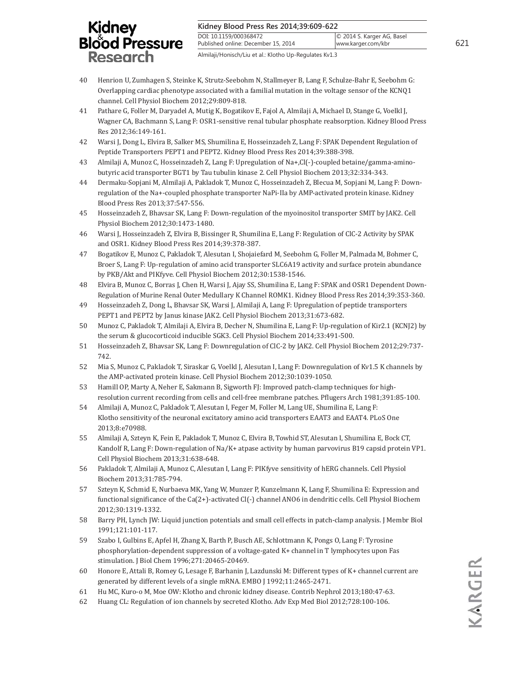| Kidney Blood Press Res 2014;39:609-622 |  |
|----------------------------------------|--|
|                                        |  |

DOI: 10.1159/000368472 Published online: December 15, 2014

Almilaji/Honisch/Liu et al.: Klotho Up-Regulates Kv1.3

- 40 Henrion U, Zumhagen S, Steinke K, Strutz-Seebohm N, Stallmeyer B, Lang F, Schulze-Bahr E, Seebohm G: Overlapping cardiac phenotype associated with a familial mutation in the voltage sensor of the KCNQ1 channel. Cell Physiol Biochem 2012;29:809-818.
- 41 Pathare G, Foller M, Daryadel A, Mutig K, Bogatikov E, Fajol A, Almilaji A, Michael D, Stange G, Voelkl J, Wagner CA, Bachmann S, Lang F: OSR1-sensitive renal tubular phosphate reabsorption. Kidney Blood Press Res 2012;36:149-161.
- 42 Warsi J, Dong L, Elvira B, Salker MS, Shumilina E, Hosseinzadeh Z, Lang F: SPAK Dependent Regulation of Peptide Transporters PEPT1 and PEPT2. Kidney Blood Press Res 2014;39:388-398.
- 43 Almilaji A, Munoz C, Hosseinzadeh Z, Lang F: Upregulation of Na+,Cl(-)-coupled betaine/gamma-aminobutyric acid transporter BGT1 by Tau tubulin kinase 2. Cell Physiol Biochem 2013;32:334-343.
- 44 Dermaku-Sopjani M, Almilaji A, Pakladok T, Munoz C, Hosseinzadeh Z, Blecua M, Sopjani M, Lang F: Downregulation of the Na+-coupled phosphate transporter NaPi-IIa by AMP-activated protein kinase. Kidney Blood Press Res 2013;37:547-556.
- 45 Hosseinzadeh Z, Bhavsar SK, Lang F: Down-regulation of the myoinositol transporter SMIT by JAK2. Cell Physiol Biochem 2012;30:1473-1480.
- 46 Warsi J, Hosseinzadeh Z, Elvira B, Bissinger R, Shumilina E, Lang F: Regulation of ClC-2 Activity by SPAK and OSR1. Kidney Blood Press Res 2014;39:378-387.
- 47 Bogatikov E, Munoz C, Pakladok T, Alesutan I, Shojaiefard M, Seebohm G, Foller M, Palmada M, Bohmer C, Broer S, Lang F: Up-regulation of amino acid transporter SLC6A19 activity and surface protein abundance by PKB/Akt and PIKfyve. Cell Physiol Biochem 2012;30:1538-1546.
- 48 Elvira B, Munoz C, Borras J, Chen H, Warsi J, Ajay SS, Shumilina E, Lang F: SPAK and OSR1 Dependent Down-Regulation of Murine Renal Outer Medullary K Channel ROMK1. Kidney Blood Press Res 2014;39:353-360.
- 49 Hosseinzadeh Z, Dong L, Bhavsar SK, Warsi J, Almilaji A, Lang F: Upregulation of peptide transporters PEPT1 and PEPT2 by Janus kinase JAK2. Cell Physiol Biochem 2013;31:673-682.
- 50 Munoz C, Pakladok T, Almilaji A, Elvira B, Decher N, Shumilina E, Lang F: Up-regulation of Kir2.1 (KCNJ2) by the serum & glucocorticoid inducible SGK3. Cell Physiol Biochem 2014;33:491-500.
- 51 Hosseinzadeh Z, Bhavsar SK, Lang F: Downregulation of ClC-2 by JAK2. Cell Physiol Biochem 2012;29:737- 742.
- 52 Mia S, Munoz C, Pakladok T, Siraskar G, Voelkl J, Alesutan I, Lang F: Downregulation of Kv1.5 K channels by the AMP-activated protein kinase. Cell Physiol Biochem 2012;30:1039-1050.
- 53 Hamill OP, Marty A, Neher E, Sakmann B, Sigworth FJ: Improved patch-clamp techniques for highresolution current recording from cells and cell-free membrane patches. Pflugers Arch 1981;391:85-100.
- 54 Almilaji A, Munoz C, Pakladok T, Alesutan I, Feger M, Foller M, Lang UE, Shumilina E, Lang F: Klotho sensitivity of the neuronal excitatory amino acid transporters EAAT3 and EAAT4. PLoS One 2013;8:e70988.
- 55 Almilaji A, Szteyn K, Fein E, Pakladok T, Munoz C, Elvira B, Towhid ST, Alesutan I, Shumilina E, Bock CT, Kandolf R, Lang F: Down-regulation of Na/K+ atpase activity by human parvovirus B19 capsid protein VP1. Cell Physiol Biochem 2013;31:638-648.
- 56 Pakladok T, Almilaji A, Munoz C, Alesutan I, Lang F: PIKfyve sensitivity of hERG channels. Cell Physiol Biochem 2013;31:785-794.
- 57 Szteyn K, Schmid E, Nurbaeva MK, Yang W, Munzer P, Kunzelmann K, Lang F, Shumilina E: Expression and functional significance of the Ca(2+)-activated Cl(-) channel ANO6 in dendritic cells. Cell Physiol Biochem 2012;30:1319-1332.
- 58 Barry PH, Lynch JW: Liquid junction potentials and small cell effects in patch-clamp analysis. J Membr Biol 1991;121:101-117.
- 59 Szabo I, Gulbins E, Apfel H, Zhang X, Barth P, Busch AE, Schlottmann K, Pongs O, Lang F: Tyrosine phosphorylation-dependent suppression of a voltage-gated K+ channel in T lymphocytes upon Fas stimulation. J Biol Chem 1996;271:20465-20469.
- 60 Honore E, Attali B, Romey G, Lesage F, Barhanin J, Lazdunski M: Different types of K+ channel current are generated by different levels of a single mRNA. EMBO J 1992;11:2465-2471.
- 61 Hu MC, Kuro-o M, Moe OW: Klotho and chronic kidney disease. Contrib Nephrol 2013;180:47-63.
- 62 Huang CL: Regulation of ion channels by secreted Klotho. Adv Exp Med Biol 2012;728:100-106.